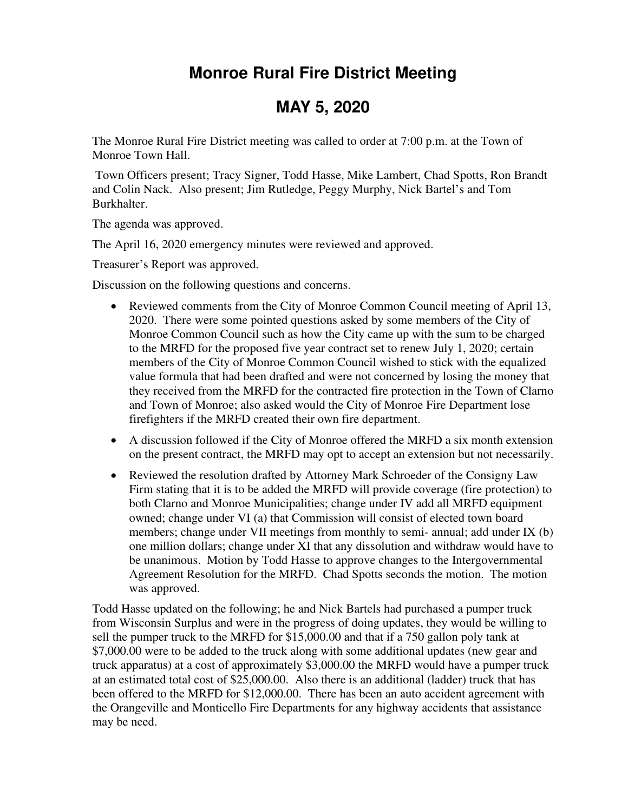## **Monroe Rural Fire District Meeting**

## **MAY 5, 2020**

The Monroe Rural Fire District meeting was called to order at 7:00 p.m. at the Town of Monroe Town Hall.

 Town Officers present; Tracy Signer, Todd Hasse, Mike Lambert, Chad Spotts, Ron Brandt and Colin Nack. Also present; Jim Rutledge, Peggy Murphy, Nick Bartel's and Tom Burkhalter.

The agenda was approved.

The April 16, 2020 emergency minutes were reviewed and approved.

Treasurer's Report was approved.

Discussion on the following questions and concerns.

- Reviewed comments from the City of Monroe Common Council meeting of April 13, 2020. There were some pointed questions asked by some members of the City of Monroe Common Council such as how the City came up with the sum to be charged to the MRFD for the proposed five year contract set to renew July 1, 2020; certain members of the City of Monroe Common Council wished to stick with the equalized value formula that had been drafted and were not concerned by losing the money that they received from the MRFD for the contracted fire protection in the Town of Clarno and Town of Monroe; also asked would the City of Monroe Fire Department lose firefighters if the MRFD created their own fire department.
- A discussion followed if the City of Monroe offered the MRFD a six month extension on the present contract, the MRFD may opt to accept an extension but not necessarily.
- Reviewed the resolution drafted by Attorney Mark Schroeder of the Consigny Law Firm stating that it is to be added the MRFD will provide coverage (fire protection) to both Clarno and Monroe Municipalities; change under IV add all MRFD equipment owned; change under VI (a) that Commission will consist of elected town board members; change under VII meetings from monthly to semi- annual; add under IX (b) one million dollars; change under XI that any dissolution and withdraw would have to be unanimous. Motion by Todd Hasse to approve changes to the Intergovernmental Agreement Resolution for the MRFD. Chad Spotts seconds the motion. The motion was approved.

Todd Hasse updated on the following; he and Nick Bartels had purchased a pumper truck from Wisconsin Surplus and were in the progress of doing updates, they would be willing to sell the pumper truck to the MRFD for \$15,000.00 and that if a 750 gallon poly tank at \$7,000.00 were to be added to the truck along with some additional updates (new gear and truck apparatus) at a cost of approximately \$3,000.00 the MRFD would have a pumper truck at an estimated total cost of \$25,000.00. Also there is an additional (ladder) truck that has been offered to the MRFD for \$12,000.00. There has been an auto accident agreement with the Orangeville and Monticello Fire Departments for any highway accidents that assistance may be need.